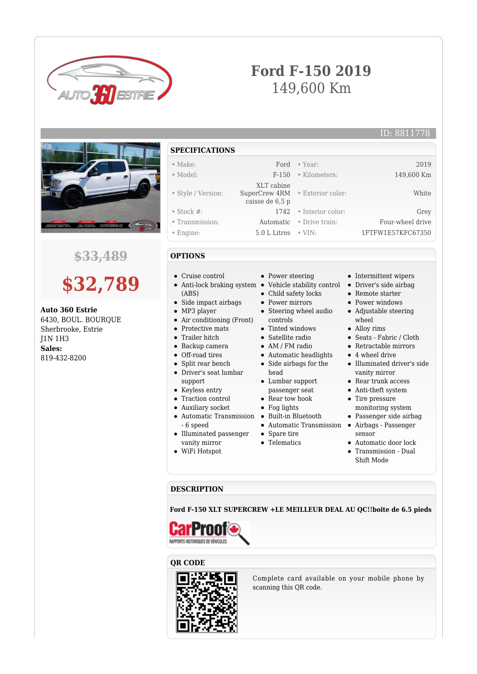

## **Ford F-150 2019** 149,600 Km

ID: 8811778



## **\$33,489**

# **\$32,789**

**Auto 360 Estrie** 6430, BOUL. BOURQUE Sherbrooke, Estrie J1N 1H3 **Sales:** 819-432-8200

**SPECIFICATIONS**

#### • Make: Ford • Year: 2019

- Model: F-150 Kilometers: 149,600 Km
- Style / Version:
- 
- Stock #: 1742 Interior color: Grey
- Transmission: Automatic Drive train: Four-wheel drive
- Engine: 5.0 L Litres VIN: 1FTFW1E57KFC67350

#### **OPTIONS**

- Cruise control
- (ABS)
- Side impact airbags
- MP3 player
- Air conditioning (Front)
- Protective mats  $\bullet$
- Trailer hitch  $\bullet$
- Backup camera
- Off-road tires
- Split rear bench
- Driver's seat lumbar support
- Keyless entry
- Traction control
- Auxiliary socket
- Automatic Transmission Built-in Bluetooth - 6 speed
- Illuminated passenger vanity mirror
- WiFi Hotspot

• Power steering

 XLT cabine SuperCrew 4RM caisse de 6,5 p

- Anti-lock braking system Vehicle stability control Driver's side airbag
	- Child safety locks
	- Power mirrors
	- Steering wheel audio controls
	- Tinted windows
	- Satellite radio
	- AM / FM radio
	- Automatic headlights
	- Side airbags for the head
	- Lumbar support passenger seat
	- Rear tow hook
	- Fog lights
	-
	- Automatic Transmission Airbags Passenger
	- Spare tire
	- Telematics

• Alloy rims Seats - Fabric / Cloth

wheel

• Exterior color: White

Retractable mirrors

• Intermittent wipers

• Remote starter • Power windows Adjustable steering

- 4 wheel drive
- Illuminated driver's side vanity mirror
- Rear trunk access
- Anti-theft system
- Tire pressure monitoring system
- Passenger side airbag
- sensor
- Automatic door lock
- Transmission Dual Shift Mode

#### **DESCRIPTION**

**Ford F-150 XLT SUPERCREW +LE MEILLEUR DEAL AU QC!!boite de 6.5 pieds**



#### **QR CODE**



Complete card available on your mobile phone by scanning this QR code.